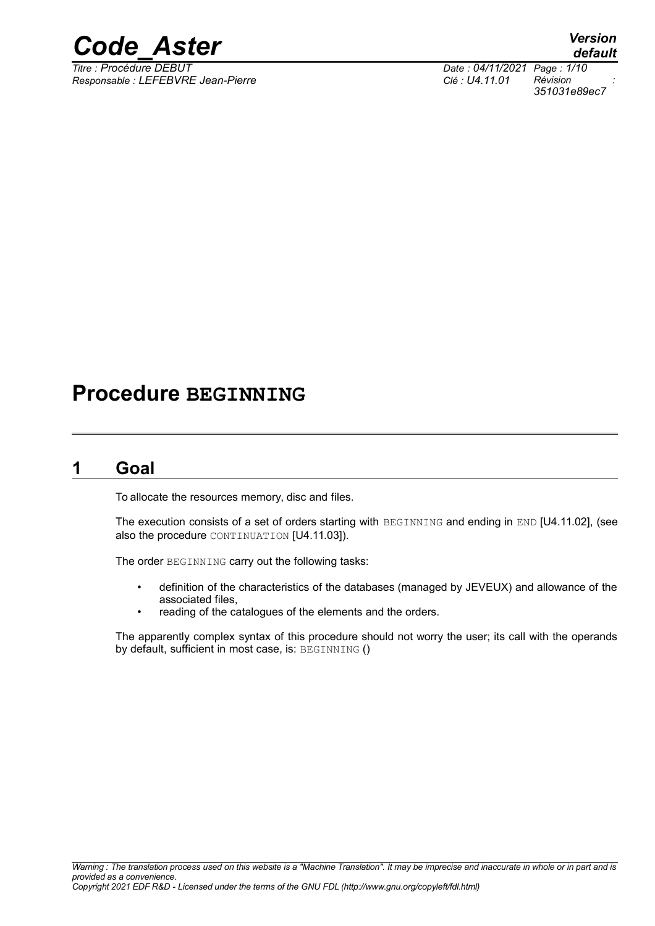

*Responsable : LEFEBVRE Jean-Pierre Clé : U4.11.01 Révision :*

*default Titre : Procédure DEBUT Date : 04/11/2021 Page : 1/10 351031e89ec7*

## **Procedure BEGINNING**

## **1 Goal**

<span id="page-0-0"></span>To allocate the resources memory, disc and files.

The execution consists of a set of orders starting with BEGINNING and ending in END [U4.11.02], (see also the procedure CONTINUATION [U4.11.03]).

The order BEGINNING carry out the following tasks:

- definition of the characteristics of the databases (managed by JEVEUX) and allowance of the associated files,
- reading of the catalogues of the elements and the orders.

The apparently complex syntax of this procedure should not worry the user; its call with the operands by default, sufficient in most case, is: BEGINNING ()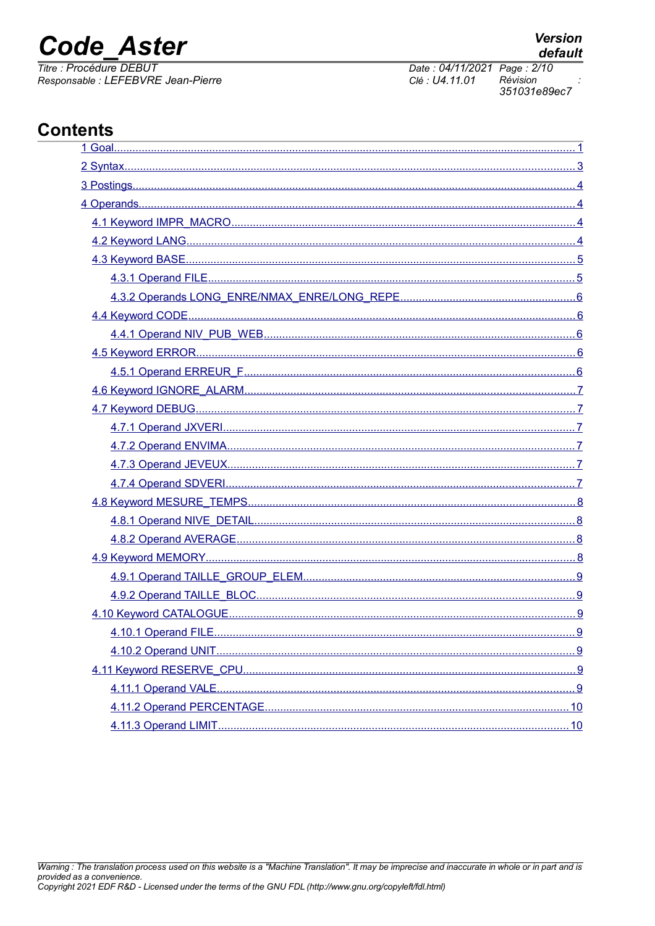## **Code Aster**

Titre : Procédure DEBUT Responsable : LEFEBVRE Jean-Pierre

## **Contents**

| ,我们也不能在这里的时候,我们也不能在这里的时候,我们也不能不能不能不能不能不能不能不能不能不能不能不能不能。""我们,我们也不能不能不能不能不能不能不能不能不 |  |
|----------------------------------------------------------------------------------|--|
|                                                                                  |  |
|                                                                                  |  |
|                                                                                  |  |
|                                                                                  |  |
|                                                                                  |  |
|                                                                                  |  |
|                                                                                  |  |
|                                                                                  |  |
|                                                                                  |  |
|                                                                                  |  |
|                                                                                  |  |
|                                                                                  |  |
|                                                                                  |  |
|                                                                                  |  |
|                                                                                  |  |
|                                                                                  |  |
|                                                                                  |  |
|                                                                                  |  |
|                                                                                  |  |
|                                                                                  |  |
|                                                                                  |  |
|                                                                                  |  |
|                                                                                  |  |
|                                                                                  |  |
|                                                                                  |  |
|                                                                                  |  |
|                                                                                  |  |
|                                                                                  |  |
|                                                                                  |  |
|                                                                                  |  |
|                                                                                  |  |
|                                                                                  |  |

Date: 04/11/2021 Page: 2/10 Clé : U4.11.01 Révision 351031e89ec7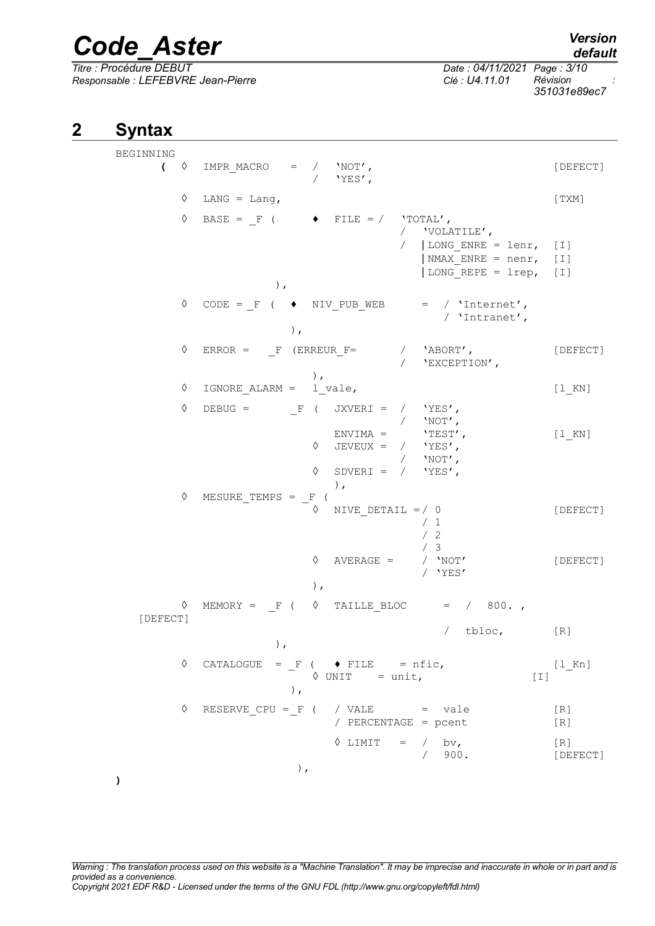*Responsable : LEFEBVRE Jean-Pierre Clé : U4.11.01 Révision :*

*Titre : Procédure DEBUT Date : 04/11/2021 Page : 3/10 351031e89ec7*

## **2 Syntax**

<span id="page-2-0"></span>BEGINNING  $\left( \begin{array}{cc} \Diamond & \text{IMPR MACRO} & = & / & 'NOT', \end{array} \right)$  $\sqrt{V_{\text{FSS}}/R}$  $\Diamond$  LANG = Lang, [TXM]  $\Diamond$  BASE = F (  $\Diamond$  FILE = / 'TOTAL', / 'VOLATILE', / | LONG ENRE = lenr, [I]  $NMAX$  ENRE = nenr, [I] | LONG REPE = lrep, [I] ),  $\Diamond$  CODE = F (  $\blacklozenge$  NIV PUB WEB = / 'Internet', / 'Intranet', ),  $\Diamond$  ERROR = F (ERREUR F= / 'ABORT', [DEFECT] / 'EXCEPTION', ),  $\Diamond$  IGNORE ALARM = l vale,  $[1 KN]$  $\Diamond$  DEBUG = F ( JXVERI = / 'YES', / 'NOT', ENVIMA =  $'TEST',$  [1\_KN]<br>JEVEUX = / 'YES',  $\Diamond$  JEVEUX = / / 'NOT',  $\Diamond$  SDVERI = / 'YES', ), ◊ MESURE\_TEMPS = \_F (  $\Diamond$  NIVE DETAIL =/ 0 [DEFECT] / 1 / 2 / 3<br>/ NOT' ◊ AVERAGE = / 'NOT' [DEFECT] / 'YES' ),  $\Diamond$  MEMORY = F (  $\Diamond$  TAILLE BLOC = / 800. [DEFECT] / tbloc, [R] ),  $\Diamond$  CATALOGUE = F (  $\blacklozenge$  FILE = nfic, [1 Kn]  $\Diamond$  UNIT = unit,  $[1]$ ),  $\Diamond$  RESERVE CPU = F ( / VALE = vale [R] / PERCENTAGE = pcent [R]  $\Diamond$  LIMIT = / bv, [R] / 900. [DEFECT] ),

**)**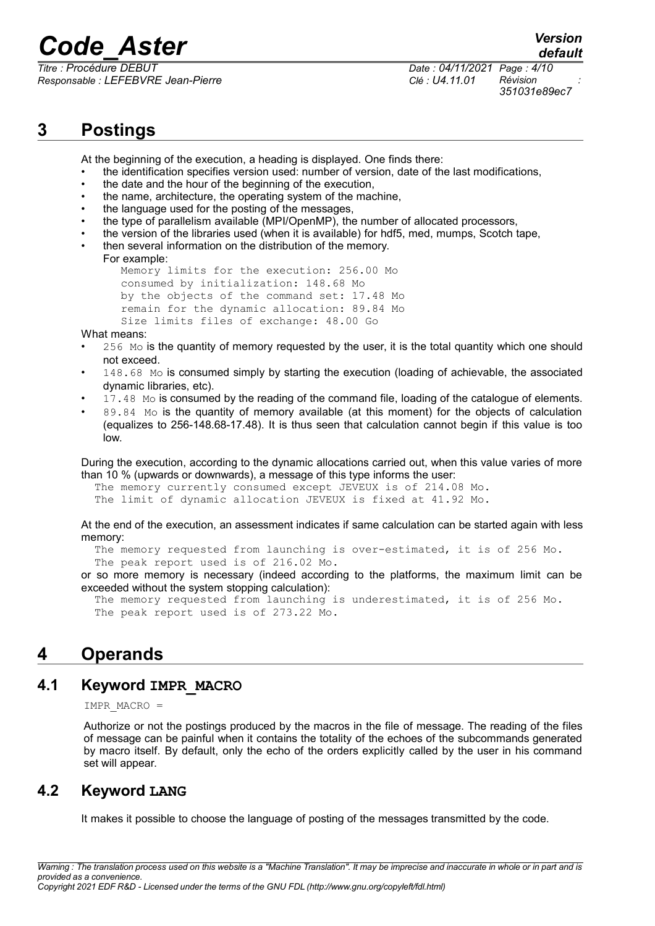*Responsable : LEFEBVRE Jean-Pierre Clé : U4.11.01 Révision :*

*Titre : Procédure DEBUT Date : 04/11/2021 Page : 4/10 351031e89ec7*

*default*

## **3 Postings**

<span id="page-3-3"></span>At the beginning of the execution, a heading is displayed. One finds there:

- the identification specifies version used: number of version, date of the last modifications,
- the date and the hour of the beginning of the execution,
- the name, architecture, the operating system of the machine,
- the language used for the posting of the messages,
- the type of parallelism available (MPI/OpenMP), the number of allocated processors,
- the version of the libraries used (when it is available) for hdf5, med, mumps, Scotch tape,
- then several information on the distribution of the memory.

For example: Memory limits for the execution: 256.00 Mo consumed by initialization: 148.68 Mo by the objects of the command set: 17.48 Mo remain for the dynamic allocation: 89.84 Mo Size limits files of exchange: 48.00 Go

What means:

- 256 Mo is the quantity of memory requested by the user, it is the total quantity which one should not exceed.
- 148.68 Mo is consumed simply by starting the execution (loading of achievable, the associated dynamic libraries, etc).
- 17.48 Mo is consumed by the reading of the command file, loading of the catalogue of elements.
- 89.84 Mo is the quantity of memory available (at this moment) for the objects of calculation (equalizes to 256-148.68-17.48). It is thus seen that calculation cannot begin if this value is too low.

During the execution, according to the dynamic allocations carried out, when this value varies of more than 10 % (upwards or downwards), a message of this type informs the user:

 The memory currently consumed except JEVEUX is of 214.08 Mo. The limit of dynamic allocation JEVEUX is fixed at 41.92 Mo.

At the end of the execution, an assessment indicates if same calculation can be started again with less memory:

 The memory requested from launching is over-estimated, it is of 256 Mo. The peak report used is of 216.02 Mo.

or so more memory is necessary (indeed according to the platforms, the maximum limit can be exceeded without the system stopping calculation):

 The memory requested from launching is underestimated, it is of 256 Mo. The peak report used is of 273.22 Mo.

## <span id="page-3-2"></span>**4 Operands**

### **4.1 Keyword IMPR\_MACRO**

<span id="page-3-1"></span>IMPR\_MACRO =

Authorize or not the postings produced by the macros in the file of message. The reading of the files of message can be painful when it contains the totality of the echoes of the subcommands generated by macro itself. By default, only the echo of the orders explicitly called by the user in his command set will appear.

### **4.2 Keyword LANG**

<span id="page-3-0"></span>It makes it possible to choose the language of posting of the messages transmitted by the code.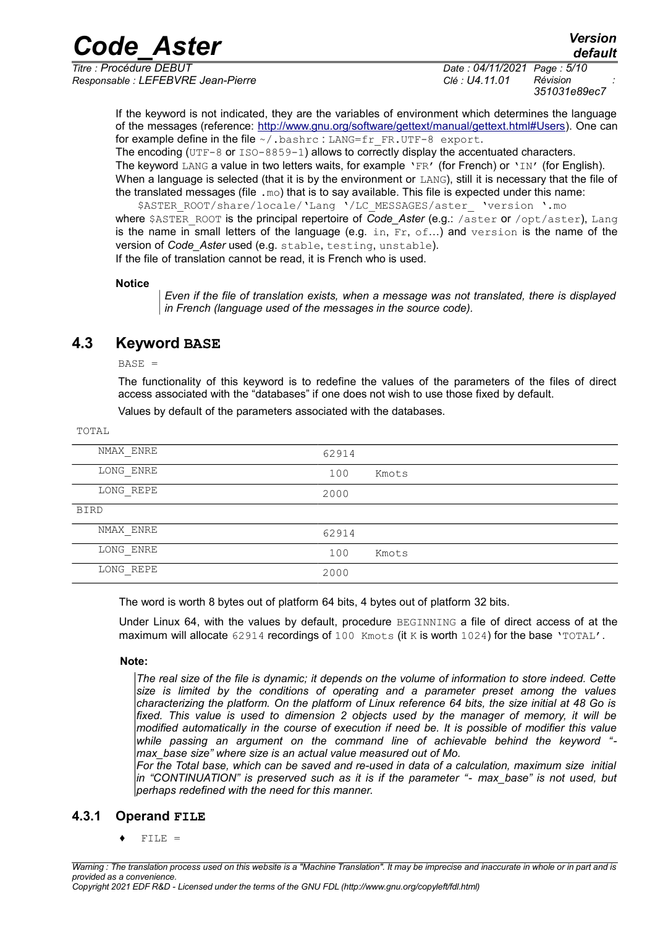*Responsable : LEFEBVRE Jean-Pierre Clé : U4.11.01 Révision :*

If the keyword is not indicated, they are the variables of environment which determines the language of the messages (reference: [http://www.gnu.org/software/gettext/manual/gettext.html#Users\)](http://www.gnu.org/software/gettext/manual/gettext.html#Users). One can for example define in the file  $\sim$ /.bashrc : LANG=fr FR.UTF-8 export.

The encoding  $(\text{UTF}-8 \text{ or } \text{ISO}-8859-1)$  allows to correctly display the accentuated characters. The keyword LANG a value in two letters waits, for example 'FR' (for French) or 'IN' (for English). When a language is selected (that it is by the environment or LANG), still it is necessary that the file of the translated messages (file .mo) that is to say available. This file is expected under this name:

\$ASTER\_ROOT/share/locale/'Lang '/LC\_MESSAGES/aster\_ 'version '.mo where \$ASTER\_ROOT is the principal repertoire of *Code\_Aster* (e.g.: /aster or /opt/aster), Lang is the name in small letters of the language (e.g. in,  $Fr$ ,  $\circ f$ ...) and version is the name of the version of *Code\_Aster* used (e.g. stable, testing, unstable). If the file of translation cannot be read, it is French who is used.

#### **Notice**

*Even if the file of translation exists, when a message was not translated, there is displayed in French (language used of the messages in the source code).*

## **4.3 Keyword BASE**

<span id="page-4-1"></span> $BASE =$ 

TOTAL

The functionality of this keyword is to redefine the values of the parameters of the files of direct access associated with the "databases" if one does not wish to use those fixed by default.

Values by default of the parameters associated with the databases.

| 62914 |       |
|-------|-------|
| 100   | Kmots |
| 2000  |       |
|       |       |
| 62914 |       |
| 100   | Kmots |
| 2000  |       |
|       |       |

The word is worth 8 bytes out of platform 64 bits, 4 bytes out of platform 32 bits.

Under Linux 64, with the values by default, procedure BEGINNING a file of direct access of at the maximum will allocate 62914 recordings of 100 Kmots (it K is worth 1024) for the base 'TOTAL'.

#### **Note:**

*The real size of the file is dynamic; it depends on the volume of information to store indeed. Cette size is limited by the conditions of operating and a parameter preset among the values characterizing the platform. On the platform of Linux reference 64 bits, the size initial at 48 Go is fixed. This value is used to dimension 2 objects used by the manager of memory, it will be modified automatically in the course of execution if need be. It is possible of modifier this value while passing an argument on the command line of achievable behind the keyword " max\_base size" where size is an actual value measured out of Mo.*

*For the Total base, which can be saved and re-used in data of a calculation, maximum size initial in "CONTINUATION" is preserved such as it is if the parameter "- max\_base" is not used, but perhaps redefined with the need for this manner.*

#### **4.3.1 Operand FILE**

<span id="page-4-0"></span> $FILE =$ 

*Warning : The translation process used on this website is a "Machine Translation". It may be imprecise and inaccurate in whole or in part and is provided as a convenience.*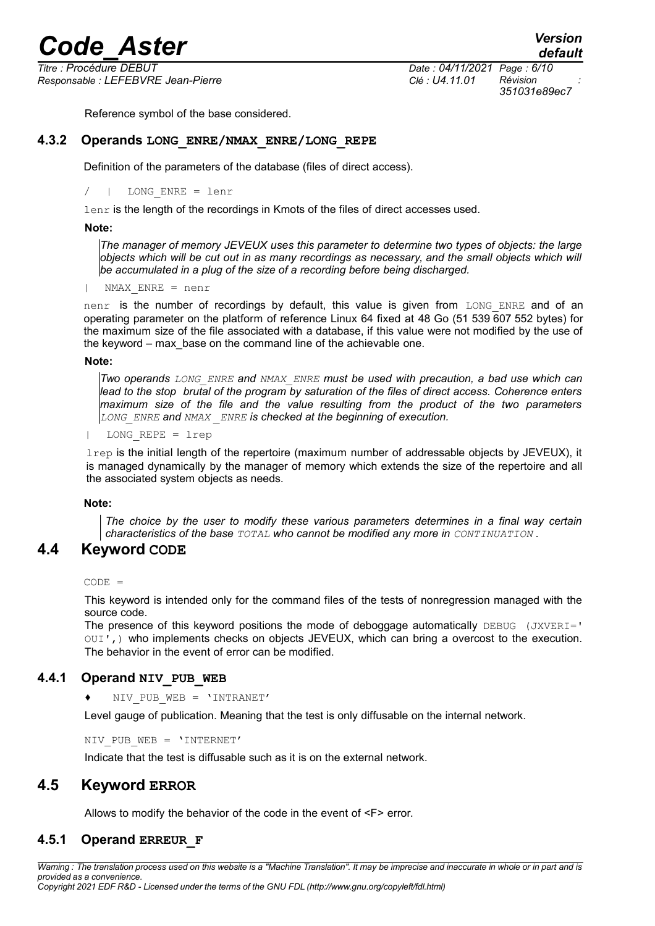*Responsable : LEFEBVRE Jean-Pierre Clé : U4.11.01 Révision :*

<span id="page-5-4"></span>Reference symbol of the base considered.

#### **4.3.2 Operands LONG\_ENRE/NMAX\_ENRE/LONG\_REPE**

Definition of the parameters of the database (files of direct access).

/ | LONG\_ENRE = lenr

lenr is the length of the recordings in Kmots of the files of direct accesses used.

#### **Note:**

*The manager of memory JEVEUX uses this parameter to determine two types of objects: the large objects which will be cut out in as many recordings as necessary, and the small objects which will be accumulated in a plug of the size of a recording before being discharged.*

| NMAX\_ENRE = nenr

nenr is the number of recordings by default, this value is given from LONG ENRE and of an operating parameter on the platform of reference Linux 64 fixed at 48 Go (51 539 607 552 bytes) for the maximum size of the file associated with a database, if this value were not modified by the use of the keyword – max\_base on the command line of the achievable one.

#### **Note:**

*Two operands LONG\_ENRE and NMAX\_ENRE must be used with precaution, a bad use which can lead to the stop brutal of the program by saturation of the files of direct access. Coherence enters maximum size of the file and the value resulting from the product of the two parameters LONG\_ENRE and NMAX \_ENRE is checked at the beginning of execution.*

 $LONG$  REPE =  $lrep$ 

 $l$ <sub>rep</sub> is the initial length of the repertoire (maximum number of addressable objects by JEVEUX), it is managed dynamically by the manager of memory which extends the size of the repertoire and all the associated system objects as needs.

#### **Note:**

<span id="page-5-3"></span>*The choice by the user to modify these various parameters determines in a final way certain characteristics of the base TOTAL who cannot be modified any more in CONTINUATION .*

#### **4.4 Keyword CODE**

 $CONF =$ 

This keyword is intended only for the command files of the tests of nonregression managed with the source code.

The presence of this keyword positions the mode of deboggage automatically  $DEBUG$  (JXVERI=' OUI',) who implements checks on objects JEVEUX, which can bring a overcost to the execution. The behavior in the event of error can be modified.

#### **4.4.1 Operand NIV\_PUB\_WEB**

<span id="page-5-2"></span>NIV PUB WEB =  $'INTRANET'$ 

Level gauge of publication. Meaning that the test is only diffusable on the internal network.

NIV PUB WEB = 'INTERNET'

<span id="page-5-1"></span>Indicate that the test is diffusable such as it is on the external network.

### **4.5 Keyword ERROR**

<span id="page-5-0"></span>Allows to modify the behavior of the code in the event of <F> error.

#### **4.5.1 Operand ERREUR\_F**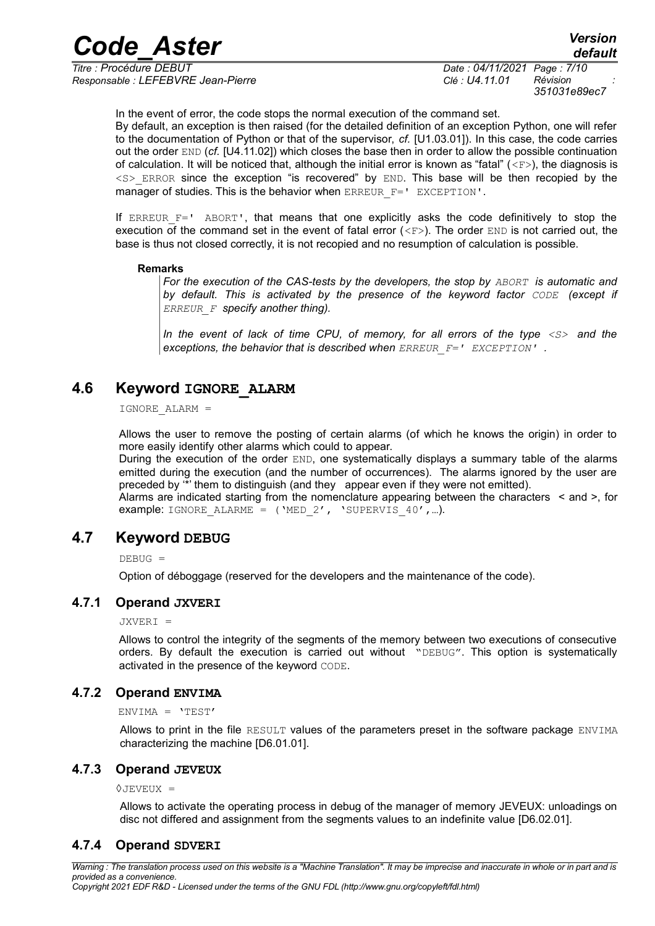*Responsable : LEFEBVRE Jean-Pierre Clé : U4.11.01 Révision :*

*Titre : Procédure DEBUT Date : 04/11/2021 Page : 7/10 351031e89ec7*

*default*

In the event of error, the code stops the normal execution of the command set.

By default, an exception is then raised (for the detailed definition of an exception Python, one will refer to the documentation of Python or that of the supervisor, *cf.* [U1.03.01]). In this case, the code carries out the order END (*cf.* [U4.11.02]) which closes the base then in order to allow the possible continuation of calculation. It will be noticed that, although the initial error is known as "fatal" ( $\langle$ F>), the diagnosis is  $<$ S> ERROR since the exception "is recovered" by END. This base will be then recopied by the manager of studies. This is the behavior when ERREUR F=' EXCEPTION'.

If ERREUR  $F=$ ' ABORT', that means that one explicitly asks the code definitively to stop the execution of the command set in the event of fatal error  $(**F**)$ . The order END is not carried out, the base is thus not closed correctly, it is not recopied and no resumption of calculation is possible.

#### **Remarks**

*For the execution of the CAS-tests by the developers, the stop by ABORT is automatic and by default. This is activated by the presence of the keyword factor CODE (except if ERREUR\_F specify another thing).*

*In the event of lack of time CPU, of memory, for all errors of the type <S> and the exceptions, the behavior that is described when ERREUR\_F=' EXCEPTION' .*

### **4.6 Keyword IGNORE\_ALARM**

<span id="page-6-5"></span>IGNORE\_ALARM =

Allows the user to remove the posting of certain alarms (of which he knows the origin) in order to more easily identify other alarms which could to appear.

During the execution of the order END, one systematically displays a summary table of the alarms emitted during the execution (and the number of occurrences). The alarms ignored by the user are preceded by '\*' them to distinguish (and they appear even if they were not emitted).

Alarms are indicated starting from the nomenclature appearing between the characters < and >, for example: IGNORE\_ALARME =  $('MED_2', 'SUBERVIS_40', ...).$ 

#### **4.7 Keyword DEBUG**

<span id="page-6-4"></span> $DEBUG =$ 

Option of déboggage (reserved for the developers and the maintenance of the code).

#### **4.7.1 Operand JXVERI**

<span id="page-6-3"></span>JXVERI =

Allows to control the integrity of the segments of the memory between two executions of consecutive orders. By default the execution is carried out without "DEBUG". This option is systematically activated in the presence of the keyword CODE.

#### **4.7.2 Operand ENVIMA**

<span id="page-6-2"></span>ENVIMA = 'TEST'

Allows to print in the file RESULT values of the parameters preset in the software package ENVIMA characterizing the machine [D6.01.01].

#### **4.7.3 Operand JEVEUX**

<span id="page-6-1"></span>◊JEVEUX =

<span id="page-6-0"></span>Allows to activate the operating process in debug of the manager of memory JEVEUX: unloadings on disc not differed and assignment from the segments values to an indefinite value [D6.02.01].

#### **4.7.4 Operand SDVERI**

*Warning : The translation process used on this website is a "Machine Translation". It may be imprecise and inaccurate in whole or in part and is provided as a convenience.*

*Copyright 2021 EDF R&D - Licensed under the terms of the GNU FDL (http://www.gnu.org/copyleft/fdl.html)*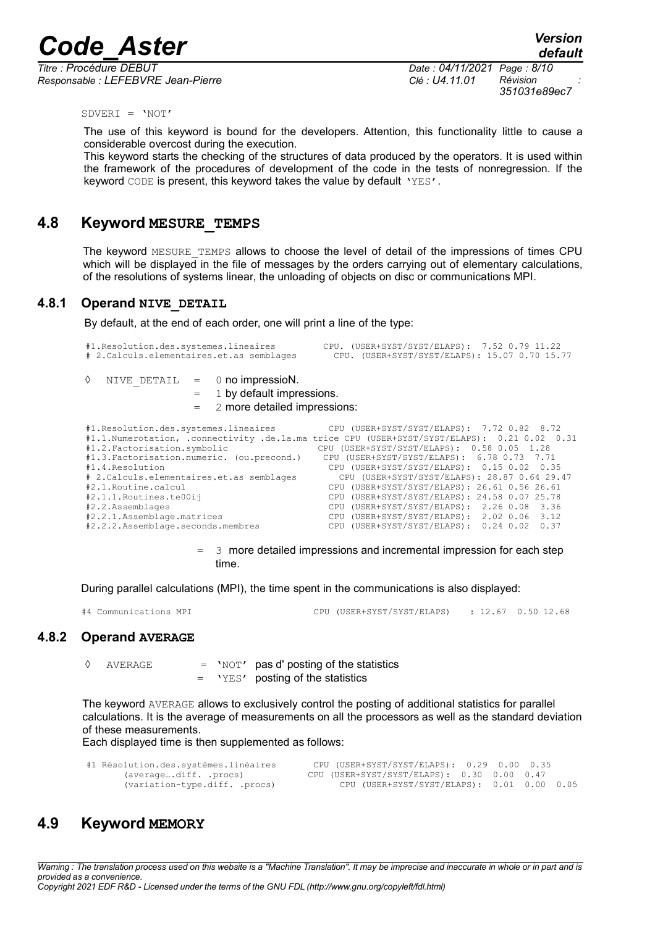*Titre : Procédure DEBUT Date : 04/11/2021 Page : 8/10 Responsable : LEFEBVRE Jean-Pierre Clé : U4.11.01 Révision :*

*351031e89ec7*

 $SDVERI = 'NOT'$ 

The use of this keyword is bound for the developers. Attention, this functionality little to cause a considerable overcost during the execution.

This keyword starts the checking of the structures of data produced by the operators. It is used within the framework of the procedures of development of the code in the tests of nonregression. If the keyword CODE is present, this keyword takes the value by default 'YES'.

#### **4.8 Keyword MESURE\_TEMPS**

<span id="page-7-3"></span>The keyword MESURE TEMPS allows to choose the level of detail of the impressions of times CPU which will be displayed in the file of messages by the orders carrying out of elementary calculations, of the resolutions of systems linear, the unloading of objects on disc or communications MPI.

#### **4.8.1 Operand NIVE\_DETAIL**

<span id="page-7-2"></span>By default, at the end of each order, one will print a line of the type:

```
#1.Resolution.des.systemes.lineaires CPU. (USER+SYST/SYST/ELAPS): 7.52 0.79 11.22
                               CPU. (USER+SYST/SYST/ELAPS): 15.07 0.70 15.77
```

|  | NIVE DETAIL | 0 no impressioN. |
|--|-------------|------------------|
|  |             |                  |

 $=$  1 by default impressions.

2 more detailed impressions:

| #1. Resolution.des. systemes. lineaires      | CPU (USER+SYST/SYST/ELAPS): 7.72 0.82 8.72                                                  |
|----------------------------------------------|---------------------------------------------------------------------------------------------|
|                                              | #1.1.Numerotation, .connectivity .de.la.ma trice CPU (USER+SYST/SYST/ELAPS): 0.21 0.02 0.31 |
| #1.2. Factorisation.symbolic                 | CPU (USER+SYST/SYST/ELAPS): 0.58 0.05 1.28                                                  |
| #1.3. Factorisation.numeric. (ou.precond.)   | CPU (USER+SYST/SYST/ELAPS): 6.78 0.73 7.71                                                  |
| #1.4. Resolution                             | CPU (USER+SYST/SYST/ELAPS): 0.15 0.02 0.35                                                  |
| # 2. Calculs. elementaires. et. as semblages | CPU (USER+SYST/SYST/ELAPS): 28.87 0.64 29.47                                                |
| #2.1. Routine. calcul                        | CPU (USER+SYST/SYST/ELAPS): 26.61 0.56 26.61                                                |
| #2.1.1. Routines. te00ij                     | CPU (USER+SYST/SYST/ELAPS): 24.58 0.07 25.78                                                |
| #2.2.Assemblages                             | CPU (USER+SYST/SYST/ELAPS): 2.26 0.08 3.36                                                  |
| #2.2.1.Assemblage.matrices                   | CPU (USER+SYST/SYST/ELAPS): 2.02 0.06 3.12                                                  |
| #2.2.2.Assemblage.seconds.membres            | CPU (USER+SYST/SYST/ELAPS): 0.24 0.02<br>0.37                                               |
|                                              |                                                                                             |

 $=$  3 more detailed impressions and incremental impression for each step time.

During parallel calculations (MPI), the time spent in the communications is also displayed:

<span id="page-7-1"></span>#4 Communications MPI CPU (USER+SYST/SYST/ELAPS) : 12.67 0.50 12.68

#### **4.8.2 Operand AVERAGE**

◊ AVERAGE = 'NOT' pas d' posting of the statistics = 'YES' posting of the statistics

The keyword AVERAGE allows to exclusively control the posting of additional statistics for parallel calculations. It is the average of measurements on all the processors as well as the standard deviation of these measurements.

Each displayed time is then supplemented as follows:

| #1 Résolution.des.systèmes.linéaires | CPU (USER+SYST/SYST/ELAPS): 0.29 0.00 0.35 |  |
|--------------------------------------|--------------------------------------------|--|
| (averagediff. .procs)                | CPU (USER+SYST/SYST/ELAPS): 0.30 0.00 0.47 |  |
| (variation-type.diff. .procs)        | CPU (USER+SYST/SYST/ELAPS): 0.01 0.00 0.05 |  |

## <span id="page-7-0"></span>**4.9 Keyword MEMORY**

*Warning : The translation process used on this website is a "Machine Translation". It may be imprecise and inaccurate in whole or in part and is provided as a convenience.*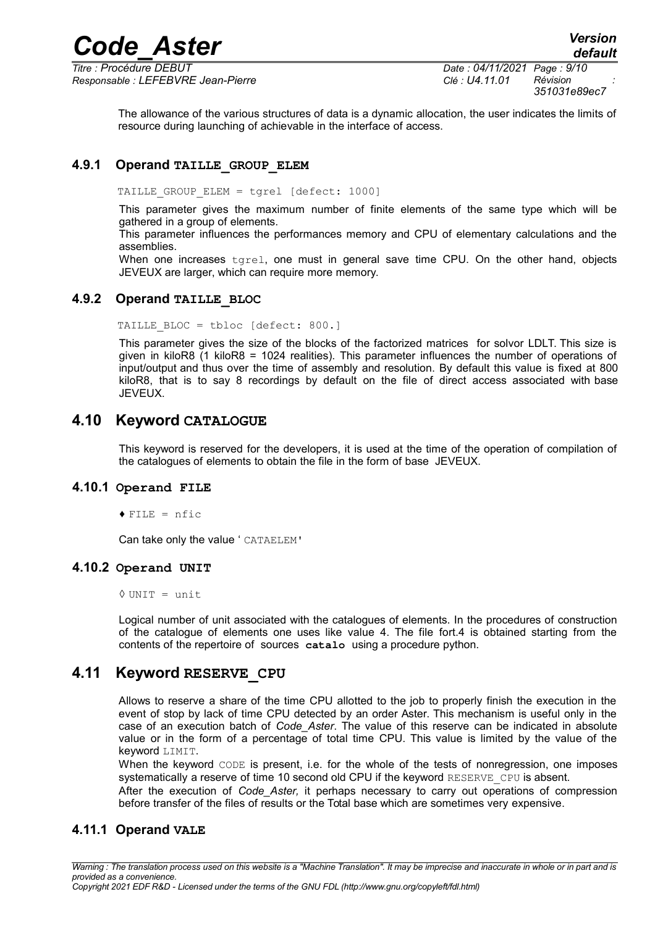The allowance of the various structures of data is a dynamic allocation, the user indicates the limits of resource during launching of achievable in the interface of access.

#### **4.9.1 Operand TAILLE\_GROUP\_ELEM**

<span id="page-8-6"></span>TAILLE GROUP ELEM = tgrel [defect: 1000]

This parameter gives the maximum number of finite elements of the same type which will be gathered in a group of elements.

This parameter influences the performances memory and CPU of elementary calculations and the assemblies.

When one increases tgrel, one must in general save time CPU. On the other hand, objects JEVEUX are larger, which can require more memory.

#### **4.9.2 Operand TAILLE\_BLOC**

<span id="page-8-5"></span>TAILLE\_BLOC = tbloc [defect: 800.]

This parameter gives the size of the blocks of the factorized matrices for solvor LDLT. This size is given in kiloR8 (1 kiloR8 = 1024 realities). This parameter influences the number of operations of input/output and thus over the time of assembly and resolution. By default this value is fixed at 800 kiloR8, that is to say 8 recordings by default on the file of direct access associated with base JEVEUX.

#### **4.10 Keyword CATALOGUE**

<span id="page-8-4"></span>This keyword is reserved for the developers, it is used at the time of the operation of compilation of the catalogues of elements to obtain the file in the form of base JEVEUX.

#### **4.10.1 Operand FILE**

<span id="page-8-3"></span> $\triangle$  FILE = nfic

<span id="page-8-2"></span>Can take only the value ' CATAELEM'

#### **4.10.2 Operand UNIT**

◊ UNIT = unit

Logical number of unit associated with the catalogues of elements. In the procedures of construction of the catalogue of elements one uses like value 4. The file fort.4 is obtained starting from the contents of the repertoire of sources **catalo** using a procedure python.

#### **4.11 Keyword RESERVE\_CPU**

<span id="page-8-1"></span>Allows to reserve a share of the time CPU allotted to the job to properly finish the execution in the event of stop by lack of time CPU detected by an order Aster. This mechanism is useful only in the case of an execution batch of *Code\_Aster*. The value of this reserve can be indicated in absolute value or in the form of a percentage of total time CPU. This value is limited by the value of the keyword LIMIT.

When the keyword CODE is present, i.e. for the whole of the tests of nonregression, one imposes systematically a reserve of time 10 second old CPU if the keyword RESERVE CPU is absent.

<span id="page-8-0"></span>After the execution of *Code\_Aster,* it perhaps necessary to carry out operations of compression before transfer of the files of results or the Total base which are sometimes very expensive.

#### **4.11.1 Operand VALE**

*Copyright 2021 EDF R&D - Licensed under the terms of the GNU FDL (http://www.gnu.org/copyleft/fdl.html)*